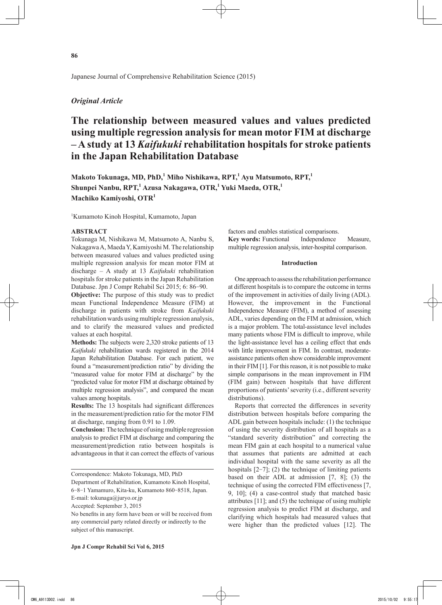Japanese Journal of Comprehensive Rehabilitation Science (2015)

## *Original Article*

# **The relationship between measured values and values predicted using multiple regression analysis for mean motor FIM at discharge – A study at 13** *Kaifukuki* **rehabilitation hospitals for stroke patients in the Japan Rehabilitation Database**

**Makoto Tokunaga, MD, PhD,<sup>1</sup> Miho Nishikawa, RPT,1 Ayu Matsumoto, RPT,1**  $\boldsymbol{\mathrm{Shunpei}}$  Nanbu, RPT, $^{1}$  Azusa Nakagawa, OTR, $^{1}$  Yuki Maeda, OTR, $^{1}$ **Machiko Kamiyoshi, OTR1**

1 Kumamoto Kinoh Hospital, Kumamoto, Japan

#### **ABSTRACT**

Tokunaga M, Nishikawa M, Matsumoto A, Nanbu S, Nakagawa A, Maeda Y, Kamiyoshi M. The relationship between measured values and values predicted using multiple regression analysis for mean motor FIM at discharge – A study at 13 *Kaifukuki* rehabilitation hospitals for stroke patients in the Japan Rehabilitation Database. Jpn J Compr Rehabil Sci 2015; 6: 86-90.

**Objective:** The purpose of this study was to predict mean Functional Independence Measure (FIM) at discharge in patients with stroke from *Kaifukuki* rehabilitation wards using multiple regression analysis, and to clarify the measured values and predicted values at each hospital.

**Methods:** The subjects were 2,320 stroke patients of 13 *Kaifukuki* rehabilitation wards registered in the 2014 Japan Rehabilitation Database. For each patient, we found a "measurement/prediction ratio" by dividing the "measured value for motor FIM at discharge" by the "predicted value for motor FIM at discharge obtained by multiple regression analysis", and compared the mean values among hospitals.

**Results:** The 13 hospitals had significant differences in the measurement/prediction ratio for the motor FIM at discharge, ranging from 0.91 to 1.09.

**Conclusion:** The technique of using multiple regression analysis to predict FIM at discharge and comparing the measurement/prediction ratio between hospitals is advantageous in that it can correct the effects of various

Department of Rehabilitation, Kumamoto Kinoh Hospital,

6-8-1 Yamamuro, Kita-ku, Kumamoto 860-8518, Japan.

E-mail: tokunaga@juryo.or.jp

Accepted: September 3, 2015

factors and enables statistical comparisons. **Key words:** Functional Independence Measure, multiple regression analysis, inter-hospital comparison.

## **Introduction**

One approach to assess the rehabilitation performance at different hospitals is to compare the outcome in terms of the improvement in activities of daily living (ADL). However, the improvement in the Functional Independence Measure (FIM), a method of assessing ADL, varies depending on the FIM at admission, which is a major problem. The total-assistance level includes many patients whose FIM is difficult to improve, while the light-assistance level has a ceiling effect that ends with little improvement in FIM. In contrast, moderateassistance patients often show considerable improvement in their FIM [1]. For this reason, it is not possible to make simple comparisons in the mean improvement in FIM (FIM gain) between hospitals that have different proportions of patients' severity (i.e., different severity distributions).

Reports that corrected the differences in severity distribution between hospitals before comparing the ADL gain between hospitals include: (1) the technique of using the severity distribution of all hospitals as a "standard severity distribution" and correcting the mean FIM gain at each hospital to a numerical value that assumes that patients are admitted at each individual hospital with the same severity as all the hospitals  $[2-7]$ ; (2) the technique of limiting patients based on their ADL at admission [7, 8]; (3) the technique of using the corrected FIM effectiveness [7, 9, 10]; (4) a case-control study that matched basic attributes [11]; and (5) the technique of using multiple regression analysis to predict FIM at discharge, and clarifying which hospitals had measured values that were higher than the predicted values [12]. The

Correspondence: Makoto Tokunaga, MD, PhD

No benefits in any form have been or will be received from any commercial party related directly or indirectly to the subject of this manuscript.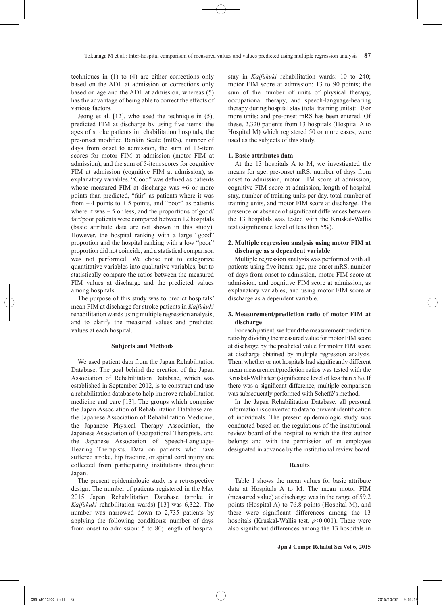techniques in (1) to (4) are either corrections only based on the ADL at admission or corrections only based on age and the ADL at admission, whereas (5) has the advantage of being able to correct the effects of various factors.

Jeong et al. [12], who used the technique in (5), predicted FIM at discharge by using five items: the ages of stroke patients in rehabilitation hospitals, the pre-onset modified Rankin Scale (mRS), number of days from onset to admission, the sum of 13-item scores for motor FIM at admission (motor FIM at admission), and the sum of 5-item scores for cognitive FIM at admission (cognitive FIM at admission), as explanatory variables. "Good" was defined as patients whose measured FIM at discharge was  $+6$  or more points than predicted, "fair" as patients where it was from  $-4$  points to  $+5$  points, and "poor" as patients where it was  $-5$  or less, and the proportions of good/ fair/poor patients were compared between 12 hospitals (basic attribute data are not shown in this study). However, the hospital ranking with a large "good" proportion and the hospital ranking with a low "poor" proportion did not coincide, and a statistical comparison was not performed. We chose not to categorize quantitative variables into qualitative variables, but to statistically compare the ratios between the measured FIM values at discharge and the predicted values among hospitals.

The purpose of this study was to predict hospitals' mean FIM at discharge for stroke patients in *Kaifukuki* rehabilitation wards using multiple regression analysis, and to clarify the measured values and predicted values at each hospital.

## **Subjects and Methods**

We used patient data from the Japan Rehabilitation Database. The goal behind the creation of the Japan Association of Rehabilitation Database, which was established in September 2012, is to construct and use a rehabilitation database to help improve rehabilitation medicine and care [13]. The groups which comprise the Japan Association of Rehabilitation Database are: the Japanese Association of Rehabilitation Medicine, the Japanese Physical Therapy Association, the Japanese Association of Occupational Therapists, and the Japanese Association of Speech-Language-Hearing Therapists. Data on patients who have suffered stroke, hip fracture, or spinal cord injury are collected from participating institutions throughout Japan.

The present epidemiologic study is a retrospective design. The number of patients registered in the May 2015 Japan Rehabilitation Database (stroke in *Kaifukuki* rehabilitation wards) [13] was 6,322. The number was narrowed down to 2,735 patients by applying the following conditions: number of days from onset to admission: 5 to 80; length of hospital stay in *Kaifukuki* rehabilitation wards: 10 to 240; motor FIM score at admission: 13 to 90 points; the sum of the number of units of physical therapy, occupational therapy, and speech-language-hearing therapy during hospital stay (total training units): 10 or more units; and pre-onset mRS has been entered. Of these, 2,320 patients from 13 hospitals (Hospital A to Hospital M) which registered 50 or more cases, were used as the subjects of this study.

## **1. Basic attributes data**

At the 13 hospitals A to M, we investigated the means for age, pre-onset mRS, number of days from onset to admission, motor FIM score at admission, cognitive FIM score at admission, length of hospital stay, number of training units per day, total number of training units, and motor FIM score at discharge. The presence or absence of significant differences between the 13 hospitals was tested with the Kruskal-Wallis test (significance level of less than 5%).

## **2. Multiple regression analysis using motor FIM at discharge as a dependent variable**

Multiple regression analysis was performed with all patients using five items: age, pre-onset mRS, number of days from onset to admission, motor FIM score at admission, and cognitive FIM score at admission, as explanatory variables, and using motor FIM score at discharge as a dependent variable.

## **3. Measurement/prediction ratio of motor FIM at discharge**

For each patient, we found the measurement/prediction ratio by dividing the measured value for motor FIM score at discharge by the predicted value for motor FIM score at discharge obtained by multiple regression analysis. Then, whether or not hospitals had significantly different mean measurement/prediction ratios was tested with the Kruskal-Wallis test (significance level of less than 5%). If there was a significant difference, multiple comparison was subsequently performed with Scheffé's method.

In the Japan Rehabilitation Database, all personal information is converted to data to prevent identification of individuals. The present epidemiologic study was conducted based on the regulations of the institutional review board of the hospital to which the first author belongs and with the permission of an employee designated in advance by the institutional review board.

#### **Results**

Table 1 shows the mean values for basic attribute data at Hospitals A to M. The mean motor FIM (measured value) at discharge was in the range of 59.2 points (Hospital A) to 76.8 points (Hospital M), and there were significant differences among the 13 hospitals (Kruskal-Wallis test, *p*<0.001). There were also significant differences among the 13 hospitals in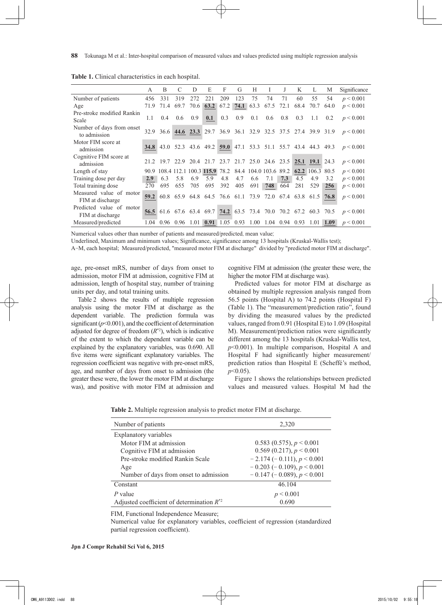|                                              | A    | B                   | C    | D    | E    | F    | G    | H                                                       | Ι.  | J         | K   | L                                                                | М    | Significance                                                                               |
|----------------------------------------------|------|---------------------|------|------|------|------|------|---------------------------------------------------------|-----|-----------|-----|------------------------------------------------------------------|------|--------------------------------------------------------------------------------------------|
| Number of patients                           | 456  | 331                 | 319  | 272  | 221  | 209  | 123  | 75                                                      | 74  | 71        | 60  | 55                                                               | 54   | $p \le 0.001$                                                                              |
| Age                                          | 71.9 | 71.4                | 69.7 | 70.6 | 63.2 | 67.2 | 74.1 | 63.3                                                    |     | 67.5 72.1 |     | 68.4 70.7                                                        | 64.0 | p < 0.001                                                                                  |
| Pre-stroke modified Rankin<br>Scale          | 1.1  | 0.4                 | 0.6  | 0.9  | 0.1  | 0.3  | 0.9  | 0.1                                                     | 0.6 | 0.8       | 0.3 | 1.1                                                              | 0.2  | p < 0.001                                                                                  |
| Number of days from onset<br>to admission    |      |                     |      |      |      |      |      |                                                         |     |           |     | 32.9 36.6 44.6 23.3 29.7 36.9 36.1 32.9 32.5 37.5 27.4 39.9 31.9 |      | $p \le 0.001$                                                                              |
| Motor FIM score at<br>admission              |      |                     |      |      |      |      |      |                                                         |     |           |     |                                                                  |      | <b>34.8</b> 43.0 52.3 43.6 49.2 <b>59.0</b> 47.1 53.3 51.1 55.7 43.4 44.3 49.3 $p < 0.001$ |
| Cognitive FIM score at<br>admission          |      |                     |      |      |      |      |      |                                                         |     |           |     | 21.2 19.7 22.9 20.4 21.7 23.7 21.7 25.0 24.6 23.5 25.1 19.1 24.3 |      | p < 0.001                                                                                  |
| Length of stay                               |      |                     |      |      |      |      |      | 90.9 108.4 112.1 100.3 115.9 78.2 84.4 104.0 103.6 89.2 |     |           |     | 62.2 106.3 80.5                                                  |      | p < 0.001                                                                                  |
| Training dose per day                        | 2.9  | 6.3                 | 5.8  | 6.9  | 5.9  | 4.8  | 4.7  | 6.6                                                     | 7.1 | 7.3       | 4.5 | 4.9                                                              | 3.2  | p < 0.001                                                                                  |
| Total training dose                          | 270  | 695                 | 655  | 705  | 695  | 392  | 405  | 691                                                     | 748 | 664       | 281 | 529                                                              | 256  | p < 0.001                                                                                  |
| Measured value of motor<br>FIM at discharge  | 59.2 |                     |      |      |      |      |      |                                                         |     |           |     | 60.8 65.9 64.8 64.5 76.6 61.1 73.9 72.0 67.4 63.8 61.5           | 76.8 | p < 0.001                                                                                  |
| Predicted value of motor<br>FIM at discharge | 56.5 |                     |      |      |      |      |      |                                                         |     |           |     | 61.6 67.6 63.4 69.7 74.2 63.5 73.4 70.0 70.2 67.2 60.3 70.5      |      | p < 0.001                                                                                  |
| Measured/predicted                           |      | 1.04 0.96 0.96 1.01 |      |      | 0.91 |      |      |                                                         |     |           |     | 1.05 0.93 1.00 1.04 0.94 0.93 1.01 1.09                          |      | p < 0.001                                                                                  |

**Table 1.** Clinical characteristics in each hospital.

Numerical values other than number of patients and measured/predicted, mean value;

Underlined, Maximum and minimum values; Significance, significance among 13 hospitals (Kruskal-Wallis test);

A-M, each hospital; Measured/predicted, "measured motor FIM at discharge" divided by "predicted motor FIM at discharge".

age, pre-onset mRS, number of days from onset to admission, motor FIM at admission, cognitive FIM at admission, length of hospital stay, number of training units per day, and total training units.

Table 2 shows the results of multiple regression analysis using the motor FIM at discharge as the dependent variable. The prediction formula was significant ( $p$ <0.001), and the coefficient of determination adjusted for degree of freedom (*R*\*2), which is indicative of the extent to which the dependent variable can be explained by the explanatory variables, was 0.690. All five items were significant explanatory variables. The regression coefficient was negative with pre-onset mRS, age, and number of days from onset to admission (the greater these were, the lower the motor FIM at discharge was), and positive with motor FIM at admission and cognitive FIM at admission (the greater these were, the higher the motor FIM at discharge was).

Predicted values for motor FIM at discharge as obtained by multiple regression analysis ranged from 56.5 points (Hospital A) to 74.2 points (Hospital F) (Table 1). The "measurement/prediction ratio", found by dividing the measured values by the predicted values, ranged from 0.91 (Hospital E) to 1.09 (Hospital M). Measurement/prediction ratios were significantly different among the 13 hospitals (Kruskal-Wallis test, *p*<0.001). In multiple comparison, Hospital A and Hospital F had significantly higher measurement/ prediction ratios than Hospital E (Scheffé's method, *p*<0.05).

Figure 1 shows the relationships between predicted values and measured values. Hospital M had the

| Number of patients                             | 2,320                          |
|------------------------------------------------|--------------------------------|
| Explanatory variables                          |                                |
| Motor FIM at admission                         | 0.583 (0.575), $p < 0.001$     |
| Cognitive FIM at admission                     | $0.569(0.217), p \le 0.001$    |
| Pre-stroke modified Rankin Scale               | $-2.174(-0.111), p < 0.001$    |
| Age                                            | $-0.203$ (-0.109), $p < 0.001$ |
| Number of days from onset to admission         | $-0.147$ (-0.089), $p < 0.001$ |
| Constant                                       | 46.104                         |
| $P$ value                                      | p < 0.001                      |
| Adjusted coefficient of determination $R^{*2}$ | 0.690                          |

**Table 2.** Multiple regression analysis to predict motor FIM at discharge.

FIM, Functional Independence Measure;

Numerical value for explanatory variables, coefficient of regression (standardized partial regression coefficient).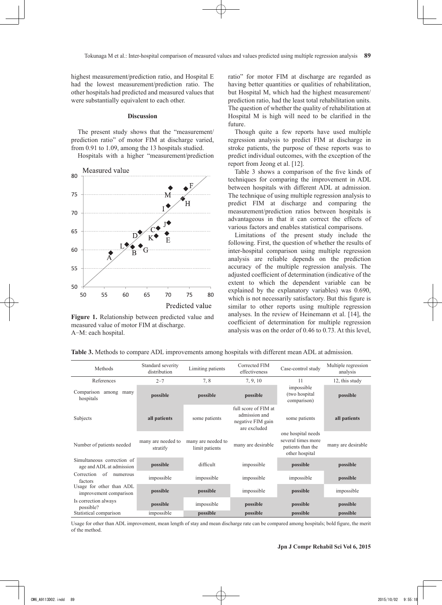highest measurement/prediction ratio, and Hospital E had the lowest measurement/prediction ratio. The other hospitals had predicted and measured values that were substantially equivalent to each other.

#### **Discussion**

The present study shows that the "measurement/ prediction ratio" of motor FIM at discharge varied, from 0.91 to 1.09, among the 13 hospitals studied.

Hospitals with a higher "measurement/prediction



**Figure 1.** Relationship between predicted value and measured value of motor FIM at discharge. A-M: each hospital.

ratio" for motor FIM at discharge are regarded as having better quantities or qualities of rehabilitation, but Hospital M, which had the highest measurement/ prediction ratio, had the least total rehabilitation units. The question of whether the quality of rehabilitation at Hospital M is high will need to be clarified in the future.

Though quite a few reports have used multiple regression analysis to predict FIM at discharge in stroke patients, the purpose of these reports was to predict individual outcomes, with the exception of the report from Jeong et al. [12].

Table 3 shows a comparison of the five kinds of techniques for comparing the improvement in ADL between hospitals with different ADL at admission. The technique of using multiple regression analysis to predict FIM at discharge and comparing the measurement/prediction ratios between hospitals is advantageous in that it can correct the effects of various factors and enables statistical comparisons.

Limitations of the present study include the following. First, the question of whether the results of inter-hospital comparison using multiple regression analysis are reliable depends on the prediction accuracy of the multiple regression analysis. The adjusted coefficient of determination (indicative of the extent to which the dependent variable can be explained by the explanatory variables) was 0.690, which is not necessarily satisfactory. But this figure is similar to other reports using multiple regression analyses. In the review of Heinemann et al. [14], the coefficient of determination for multiple regression analysis was on the order of 0.46 to 0.73. At this level,

| Methods                                                | Standard severity<br>distribution | Limiting patients                    | Corrected FIM<br>effectiveness                                             | Case-control study                                                              | Multiple regression<br>analysis |  |
|--------------------------------------------------------|-----------------------------------|--------------------------------------|----------------------------------------------------------------------------|---------------------------------------------------------------------------------|---------------------------------|--|
| References                                             | $2 - 7$                           | 7,8                                  | 7, 9, 10                                                                   | 11                                                                              | 12, this study                  |  |
| Comparison among<br>many<br>hospitals                  | possible                          | possible                             | possible                                                                   | impossible<br>(two hospital<br>comparison)                                      | possible                        |  |
| Subjects                                               | all patients                      | some patients                        | full score of FIM at<br>admission and<br>negative FIM gain<br>are excluded | some patients                                                                   | all patients                    |  |
| Number of patients needed                              | many are needed to<br>stratify    | many are needed to<br>limit patients | many are desirable                                                         | one hospital needs<br>several times more<br>patients than the<br>other hospital | many are desirable              |  |
| Simultaneous correction of<br>age and ADL at admission | possible                          | difficult                            | impossible                                                                 | possible                                                                        | possible                        |  |
| Correction<br>of<br>numerous<br>factors                | impossible                        | impossible                           | impossible                                                                 | impossible                                                                      | possible                        |  |
| Usage for other than ADL<br>improvement comparison     | possible                          | possible                             | impossible                                                                 | possible                                                                        | impossible                      |  |
| Is correction always<br>possible?                      | possible                          | impossible                           | possible                                                                   | possible                                                                        | possible                        |  |
| Statistical comparison                                 | impossible                        | possible                             | possible                                                                   | possible                                                                        | possible                        |  |

**Table 3.** Methods to compare ADL improvements among hospitals with different mean ADL at admission.

Usage for other than ADL improvement, mean length of stay and mean discharge rate can be compared among hospitals; bold figure, the merit of the method.